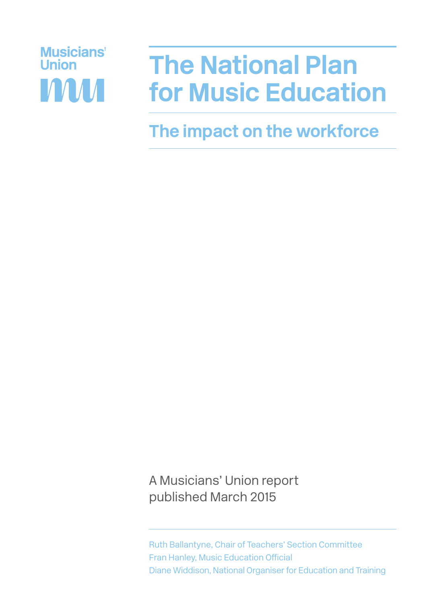

**The impact on the workforce**

A Musicians' Union report published March 2015

Ruth Ballantyne, Chair of Teachers' Section Committee Fran Hanley, Music Education Official Diane Widdison, National Organiser for Education and Training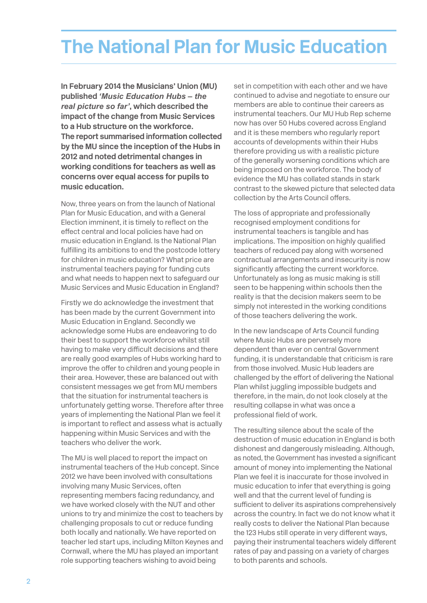**In February 2014 the Musicians' Union (MU) published** *'Music Education Hubs – the real picture so far'***, which described the impact of the change from Music Services to a Hub structure on the workforce. The report summarised information collected by the MU since the inception of the Hubs in 2012 and noted detrimental changes in working conditions for teachers as well as concerns over equal access for pupils to music education.** 

Now, three years on from the launch of National Plan for Music Education, and with a General Election imminent, it is timely to reflect on the effect central and local policies have had on music education in England. Is the National Plan fulfilling its ambitions to end the postcode lottery for children in music education? What price are instrumental teachers paying for funding cuts and what needs to happen next to safeguard our Music Services and Music Education in England?

Firstly we do acknowledge the investment that has been made by the current Government into Music Education in England. Secondly we acknowledge some Hubs are endeavoring to do their best to support the workforce whilst still having to make very difficult decisions and there are really good examples of Hubs working hard to improve the offer to children and young people in their area. However, these are balanced out with consistent messages we get from MU members that the situation for instrumental teachers is unfortunately getting worse. Therefore after three years of implementing the National Plan we feel it is important to reflect and assess what is actually happening within Music Services and with the teachers who deliver the work.

The MU is well placed to report the impact on instrumental teachers of the Hub concept. Since 2012 we have been involved with consultations involving many Music Services, often representing members facing redundancy, and we have worked closely with the NUT and other unions to try and minimize the cost to teachers by challenging proposals to cut or reduce funding both locally and nationally. We have reported on teacher led start ups, including Milton Keynes and Cornwall, where the MU has played an important role supporting teachers wishing to avoid being

set in competition with each other and we have continued to advise and negotiate to ensure our members are able to continue their careers as instrumental teachers. Our MU Hub Rep scheme now has over 50 Hubs covered across England and it is these members who regularly report accounts of developments within their Hubs therefore providing us with a realistic picture of the generally worsening conditions which are being imposed on the workforce. The body of evidence the MU has collated stands in stark contrast to the skewed picture that selected data collection by the Arts Council offers.

The loss of appropriate and professionally recognised employment conditions for instrumental teachers is tangible and has implications. The imposition on highly qualified teachers of reduced pay along with worsened contractual arrangements and insecurity is now significantly affecting the current workforce. Unfortunately as long as music making is still seen to be happening within schools then the reality is that the decision makers seem to be simply not interested in the working conditions of those teachers delivering the work.

In the new landscape of Arts Council funding where Music Hubs are perversely more dependent than ever on central Government funding, it is understandable that criticism is rare from those involved. Music Hub leaders are challenged by the effort of delivering the National Plan whilst juggling impossible budgets and therefore, in the main, do not look closely at the resulting collapse in what was once a professional field of work.

The resulting silence about the scale of the destruction of music education in England is both dishonest and dangerously misleading. Although, as noted, the Government has invested a significant amount of money into implementing the National Plan we feel it is inaccurate for those involved in music education to infer that everything is going well and that the current level of funding is sufficient to deliver its aspirations comprehensively across the country. In fact we do not know what it really costs to deliver the National Plan because the 123 Hubs still operate in very different ways, paying their instrumental teachers widely different rates of pay and passing on a variety of charges to both parents and schools.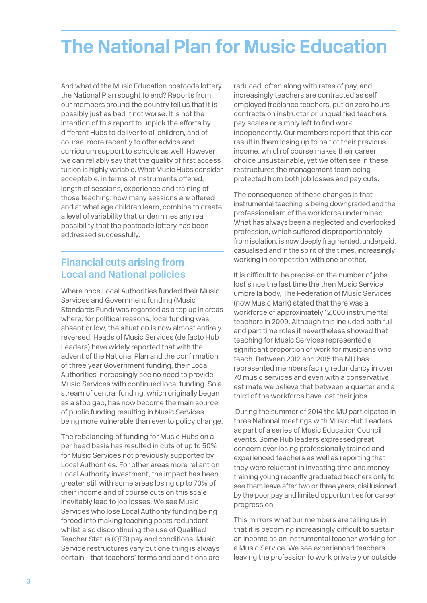And what of the Music Education postcode lottery the National Plan sought to end? Reports from our members around the country tell us that it is possibly just as bad if not worse. It is not the intention of this report to unpick the efforts by different Hubs to deliver to all children, and of course, more recently to offer advice and curriculum support to schools as well. However we can reliably say that the quality of first access tuition is highly variable. What Music Hubs consider acceptable, in terms of instruments offered, length of sessions, experience and training of those teaching; how many sessions are offered and at what age children learn, combine to create a level of variability that undermines any real possibility that the postcode lottery has been addressed successfully.

#### **Financial cuts arising from Local and National policies**

Where once Local Authorities funded their Music Services and Government funding (Music Standards Fund) was regarded as a top up in areas where, for political reasons, local funding was absent or low, the situation is now almost entirely reversed. Heads of Music Services (de facto Hub Leaders) have widely reported that with the advent of the National Plan and the confirmation of three year Government funding, their Local Authorities increasingly see no need to provide Music Services with continued local funding. So a stream of central funding, which originally began as a stop gap, has now become the main source of public funding resulting in Music Services being more vulnerable than ever to policy change.

The rebalancing of funding for Music Hubs on a per head basis has resulted in cuts of up to 50% for Music Services not previously supported by Local Authorities. For other areas more reliant on Local Authority investment, the impact has been greater still with some areas losing up to 70% of their income and of course cuts on this scale inevitably lead to job losses. We see Music Services who lose Local Authority funding being forced into making teaching posts redundant whilst also discontinuing the use of Qualified Teacher Status (QTS) pay and conditions. Music Service restructures vary but one thing is always certain - that teachers' terms and conditions are reduced, often along with rates of pay, and increasingly teachers are contracted as self employed freelance teachers, put on zero hours contracts on instructor or unqualified teachers pay scales or simply left to find work independently. Our members report that this can result in them losing up to half of their previous income, which of course makes their career choice unsustainable, yet we often see in these restructures the management team being protected from both job losses and pay cuts.

The consequence of these changes is that instrumental teaching is being downgraded and the professionalism of the workforce undermined. What has always been a neglected and overlooked profession, which suffered disproportionately from isolation, is now deeply fragmented, underpaid, casualised and in the spirit of the times, increasingly working in competition with one another.

It is difficult to be precise on the number of jobs lost since the last time the then Music Service umbrella body, The Federation of Music Services (now Music Mark) stated that there was a workforce of approximately 12,000 instrumental teachers in 2009. Although this included both full and part time roles it nevertheless showed that teaching for Music Services represented a significant proportion of work for musicians who teach. Between 2012 and 2015 the MU has represented members facing redundancy in over 70 music services and even with a conservative estimate we believe that between a quarter and a third of the workforce have lost their jobs.

During the summer of 2014 the MU participated in three National meetings with Music Hub Leaders as part of a series of Music Education Council events. Some Hub leaders expressed great concern over losing professionally trained and experienced teachers as well as reporting that they were reluctant in investing time and money training young recently graduated teachers only to see them leave after two or three years, disillusioned by the poor pay and limited opportunities for career progression.

This mirrors what our members are telling us in that it is becoming increasingly difficult to sustain an income as an instrumental teacher working for a Music Service. We see experienced teachers leaving the profession to work privately or outside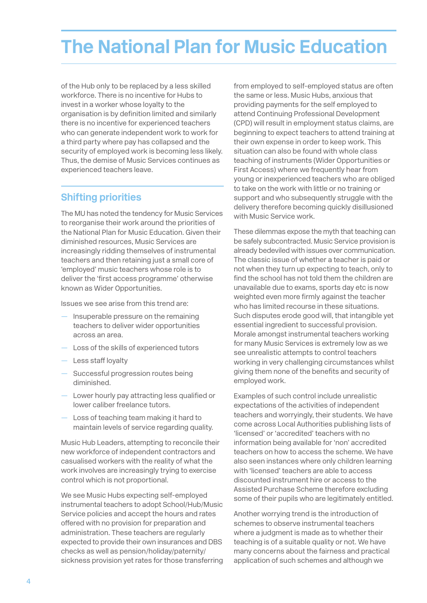of the Hub only to be replaced by a less skilled workforce. There is no incentive for Hubs to invest in a worker whose loyalty to the organisation is by definition limited and similarly there is no incentive for experienced teachers who can generate independent work to work for a third party where pay has collapsed and the security of employed work is becoming less likely. Thus, the demise of Music Services continues as experienced teachers leave.

#### **Shifting priorities**

The MU has noted the tendency for Music Services to reorganise their work around the priorities of the National Plan for Music Education. Given their diminished resources, Music Services are increasingly ridding themselves of instrumental teachers and then retaining just a small core of 'employed' music teachers whose role is to deliver the 'first access programme' otherwise known as Wider Opportunities.

Issues we see arise from this trend are:

- Insuperable pressure on the remaining teachers to deliver wider opportunities across an area.
- Loss of the skills of experienced tutors
- Less staff loyalty
- Successful progression routes being diminished.
- Lower hourly pay attracting less qualified or lower caliber freelance tutors.
- Loss of teaching team making it hard to maintain levels of service regarding quality.

Music Hub Leaders, attempting to reconcile their new workforce of independent contractors and casualised workers with the reality of what the work involves are increasingly trying to exercise control which is not proportional.

We see Music Hubs expecting self-employed instrumental teachers to adopt School/Hub/Music Service policies and accept the hours and rates offered with no provision for preparation and administration. These teachers are regularly expected to provide their own insurances and DBS checks as well as pension/holiday/paternity/ sickness provision yet rates for those transferring from employed to self-employed status are often the same or less. Music Hubs, anxious that providing payments for the self employed to attend Continuing Professional Development (CPD) will result in employment status claims, are beginning to expect teachers to attend training at their own expense in order to keep work. This situation can also be found with whole class teaching of instruments (Wider Opportunities or First Access) where we frequently hear from young or inexperienced teachers who are obliged to take on the work with little or no training or support and who subsequently struggle with the delivery therefore becoming quickly disillusioned with Music Service work.

These dilemmas expose the myth that teaching can be safely subcontracted. Music Service provision is already bedeviled with issues over communication. The classic issue of whether a teacher is paid or not when they turn up expecting to teach, only to find the school has not told them the children are unavailable due to exams, sports day etc is now weighted even more firmly against the teacher who has limited recourse in these situations. Such disputes erode good will, that intangible yet essential ingredient to successful provision. Morale amongst instrumental teachers working for many Music Services is extremely low as we see unrealistic attempts to control teachers working in very challenging circumstances whilst giving them none of the benefits and security of employed work.

Examples of such control include unrealistic expectations of the activities of independent teachers and worryingly, their students. We have come across Local Authorities publishing lists of 'licensed' or 'accredited' teachers with no information being available for 'non' accredited teachers on how to access the scheme. We have also seen instances where only children learning with 'licensed' teachers are able to access discounted instrument hire or access to the Assisted Purchase Scheme therefore excluding some of their pupils who are legitimately entitled.

Another worrying trend is the introduction of schemes to observe instrumental teachers where a judgment is made as to whether their teaching is of a suitable quality or not. We have many concerns about the fairness and practical application of such schemes and although we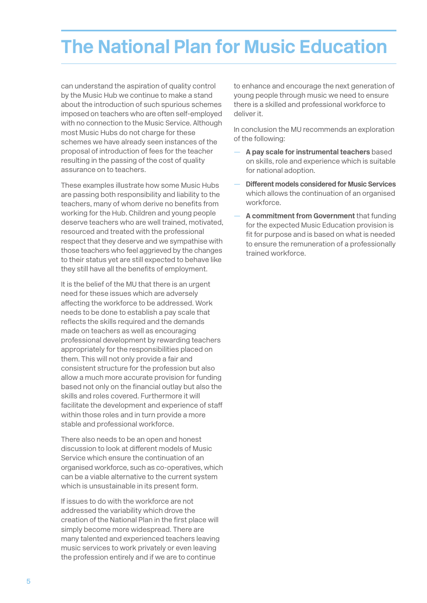can understand the aspiration of quality control by the Music Hub we continue to make a stand about the introduction of such spurious schemes imposed on teachers who are often self-employed with no connection to the Music Service. Although most Music Hubs do not charge for these schemes we have already seen instances of the proposal of introduction of fees for the teacher resulting in the passing of the cost of quality assurance on to teachers.

These examples illustrate how some Music Hubs are passing both responsibility and liability to the teachers, many of whom derive no benefits from working for the Hub. Children and young people deserve teachers who are well trained, motivated, resourced and treated with the professional respect that they deserve and we sympathise with those teachers who feel aggrieved by the changes to their status yet are still expected to behave like they still have all the benefits of employment.

It is the belief of the MU that there is an urgent need for these issues which are adversely affecting the workforce to be addressed. Work needs to be done to establish a pay scale that reflects the skills required and the demands made on teachers as well as encouraging professional development by rewarding teachers appropriately for the responsibilities placed on them. This will not only provide a fair and consistent structure for the profession but also allow a much more accurate provision for funding based not only on the financial outlay but also the skills and roles covered. Furthermore it will facilitate the development and experience of staff within those roles and in turn provide a more stable and professional workforce.

There also needs to be an open and honest discussion to look at different models of Music Service which ensure the continuation of an organised workforce, such as co-operatives, which can be a viable alternative to the current system which is unsustainable in its present form.

If issues to do with the workforce are not addressed the variability which drove the creation of the National Plan in the first place will simply become more widespread. There are many talented and experienced teachers leaving music services to work privately or even leaving the profession entirely and if we are to continue

to enhance and encourage the next generation of young people through music we need to ensure there is a skilled and professional workforce to deliver it.

In conclusion the MU recommends an exploration of the following:

- **A pay scale for instrumental teachers** based on skills, role and experience which is suitable for national adoption.
- **Different models considered for Music Services** which allows the continuation of an organised workforce.
- **A commitment from Government** that funding for the expected Music Education provision is fit for purpose and is based on what is needed to ensure the remuneration of a professionally trained workforce.